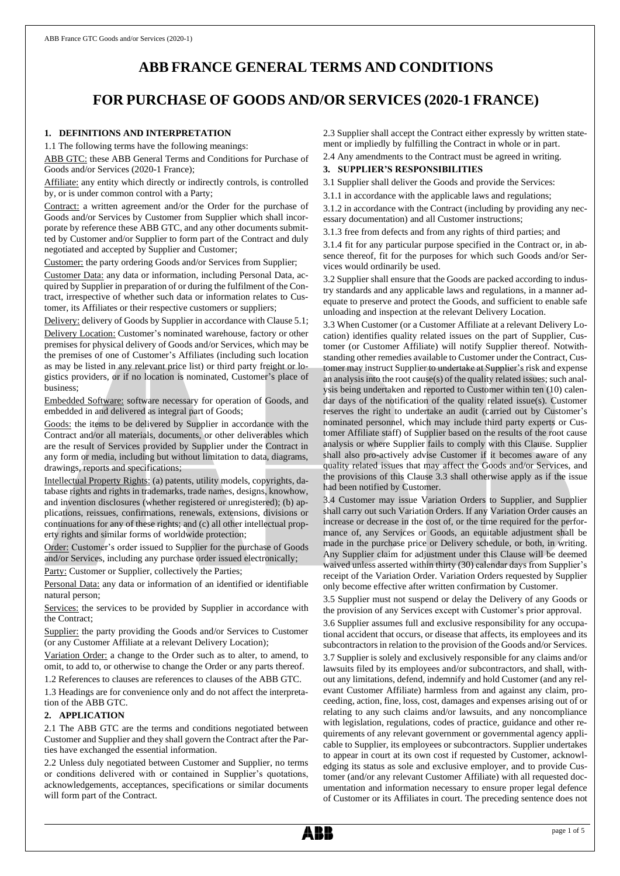# **ABB FRANCE GENERAL TERMS AND CONDITIONS**

# **FOR PURCHASE OF GOODS AND/OR SERVICES (2020-1 FRANCE)**

# **1. DEFINITIONS AND INTERPRETATION**

1.1 The following terms have the following meanings:

ABB GTC: these ABB General Terms and Conditions for Purchase of Goods and/or Services (2020-1 France);

Affiliate: any entity which directly or indirectly controls, is controlled by, or is under common control with a Party;

Contract: a written agreement and/or the Order for the purchase of Goods and/or Services by Customer from Supplier which shall incorporate by reference these ABB GTC, and any other documents submitted by Customer and/or Supplier to form part of the Contract and duly negotiated and accepted by Supplier and Customer;

Customer: the party ordering Goods and/or Services from Supplier;

Customer Data: any data or information, including Personal Data, acquired by Supplier in preparation of or during the fulfilment of the Contract, irrespective of whether such data or information relates to Customer, its Affiliates or their respective customers or suppliers;

Delivery: delivery of Goods by Supplier in accordance with Clause 5.1;

Delivery Location: Customer's nominated warehouse, factory or other premises for physical delivery of Goods and/or Services, which may be the premises of one of Customer's Affiliates (including such location as may be listed in any relevant price list) or third party freight or logistics providers, or if no location is nominated, Customer's place of business;

Embedded Software: software necessary for operation of Goods, and embedded in and delivered as integral part of Goods;

Goods: the items to be delivered by Supplier in accordance with the Contract and/or all materials, documents, or other deliverables which are the result of Services provided by Supplier under the Contract in any form or media, including but without limitation to data, diagrams, drawings, reports and specifications;

Intellectual Property Rights: (a) patents, utility models, copyrights, database rights and rights in trademarks, trade names, designs, knowhow, and invention disclosures (whether registered or unregistered); (b) applications, reissues, confirmations, renewals, extensions, divisions or continuations for any of these rights; and (c) all other intellectual property rights and similar forms of worldwide protection;

Order: Customer's order issued to Supplier for the purchase of Goods and/or Services, including any purchase order issued electronically;

Party: Customer or Supplier, collectively the Parties;

Personal Data: any data or information of an identified or identifiable natural person;

Services: the services to be provided by Supplier in accordance with the Contract;

Supplier: the party providing the Goods and/or Services to Customer (or any Customer Affiliate at a relevant Delivery Location);

Variation Order: a change to the Order such as to alter, to amend, to omit, to add to, or otherwise to change the Order or any parts thereof.

1.2 References to clauses are references to clauses of the ABB GTC.

1.3 Headings are for convenience only and do not affect the interpretation of the ABB GTC.

#### **2. APPLICATION**

2.1 The ABB GTC are the terms and conditions negotiated between Customer and Supplier and they shall govern the Contract after the Parties have exchanged the essential information.

2.2 Unless duly negotiated between Customer and Supplier, no terms or conditions delivered with or contained in Supplier's quotations, acknowledgements, acceptances, specifications or similar documents will form part of the Contract.

2.3 Supplier shall accept the Contract either expressly by written statement or impliedly by fulfilling the Contract in whole or in part.

2.4 Any amendments to the Contract must be agreed in writing.

# **3. SUPPLIER'S RESPONSIBILITIES**

3.1 Supplier shall deliver the Goods and provide the Services:

3.1.1 in accordance with the applicable laws and regulations;

3.1.2 in accordance with the Contract (including by providing any necessary documentation) and all Customer instructions;

3.1.3 free from defects and from any rights of third parties; and

3.1.4 fit for any particular purpose specified in the Contract or, in absence thereof, fit for the purposes for which such Goods and/or Services would ordinarily be used.

3.2 Supplier shall ensure that the Goods are packed according to industry standards and any applicable laws and regulations, in a manner adequate to preserve and protect the Goods, and sufficient to enable safe unloading and inspection at the relevant Delivery Location.

3.3 When Customer (or a Customer Affiliate at a relevant Delivery Location) identifies quality related issues on the part of Supplier, Customer (or Customer Affiliate) will notify Supplier thereof. Notwithstanding other remedies available to Customer under the Contract, Customer may instruct Supplier to undertake at Supplier's risk and expense an analysis into the root cause(s) of the quality related issues; such analysis being undertaken and reported to Customer within ten (10) calendar days of the notification of the quality related issue(s). Customer reserves the right to undertake an audit (carried out by Customer's nominated personnel, which may include third party experts or Customer Affiliate staff) of Supplier based on the results of the root cause analysis or where Supplier fails to comply with this Clause. Supplier shall also pro-actively advise Customer if it becomes aware of any quality related issues that may affect the Goods and/or Services, and the provisions of this Clause 3.3 shall otherwise apply as if the issue had been notified by Customer.

3.4 Customer may issue Variation Orders to Supplier, and Supplier shall carry out such Variation Orders. If any Variation Order causes an increase or decrease in the cost of, or the time required for the performance of, any Services or Goods, an equitable adjustment shall be made in the purchase price or Delivery schedule, or both, in writing. Any Supplier claim for adjustment under this Clause will be deemed waived unless asserted within thirty (30) calendar days from Supplier's receipt of the Variation Order. Variation Orders requested by Supplier only become effective after written confirmation by Customer.

3.5 Supplier must not suspend or delay the Delivery of any Goods or the provision of any Services except with Customer's prior approval.

3.6 Supplier assumes full and exclusive responsibility for any occupational accident that occurs, or disease that affects, its employees and its subcontractors in relation to the provision of the Goods and/or Services. 3.7 Supplier is solely and exclusively responsible for any claims and/or lawsuits filed by its employees and/or subcontractors, and shall, without any limitations, defend, indemnify and hold Customer (and any relevant Customer Affiliate) harmless from and against any claim, proceeding, action, fine, loss, cost, damages and expenses arising out of or relating to any such claims and/or lawsuits, and any noncompliance with legislation, regulations, codes of practice, guidance and other requirements of any relevant government or governmental agency applicable to Supplier, its employees or subcontractors. Supplier undertakes to appear in court at its own cost if requested by Customer, acknowledging its status as sole and exclusive employer, and to provide Customer (and/or any relevant Customer Affiliate) with all requested documentation and information necessary to ensure proper legal defence of Customer or its Affiliates in court. The preceding sentence does not

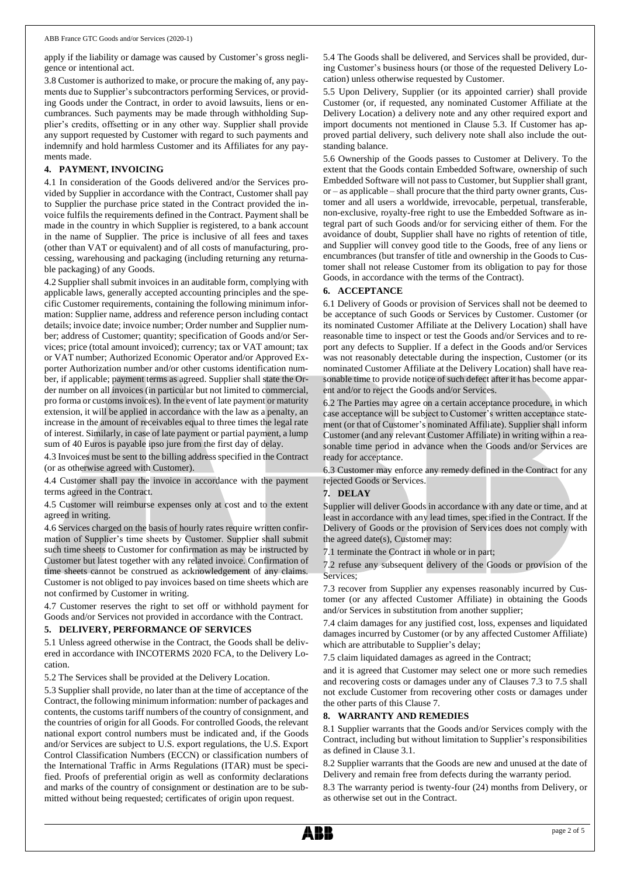apply if the liability or damage was caused by Customer's gross negligence or intentional act.

3.8 Customer is authorized to make, or procure the making of, any payments due to Supplier's subcontractors performing Services, or providing Goods under the Contract, in order to avoid lawsuits, liens or encumbrances. Such payments may be made through withholding Supplier's credits, offsetting or in any other way. Supplier shall provide any support requested by Customer with regard to such payments and indemnify and hold harmless Customer and its Affiliates for any payments made.

## **4. PAYMENT, INVOICING**

4.1 In consideration of the Goods delivered and/or the Services provided by Supplier in accordance with the Contract, Customer shall pay to Supplier the purchase price stated in the Contract provided the invoice fulfils the requirements defined in the Contract. Payment shall be made in the country in which Supplier is registered, to a bank account in the name of Supplier. The price is inclusive of all fees and taxes (other than VAT or equivalent) and of all costs of manufacturing, processing, warehousing and packaging (including returning any returnable packaging) of any Goods.

4.2 Supplier shall submit invoices in an auditable form, complying with applicable laws, generally accepted accounting principles and the specific Customer requirements, containing the following minimum information: Supplier name, address and reference person including contact details; invoice date; invoice number; Order number and Supplier number; address of Customer; quantity; specification of Goods and/or Services; price (total amount invoiced); currency; tax or VAT amount; tax or VAT number; Authorized Economic Operator and/or Approved Exporter Authorization number and/or other customs identification number, if applicable; payment terms as agreed. Supplier shall state the Order number on all invoices (in particular but not limited to commercial, pro forma or customs invoices). In the event of late payment or maturity extension, it will be applied in accordance with the law as a penalty, an increase in the amount of receivables equal to three times the legal rate of interest. Similarly, in case of late payment or partial payment, a lump sum of 40 Euros is payable ipso jure from the first day of delay.

4.3 Invoices must be sent to the billing address specified in the Contract (or as otherwise agreed with Customer).

4.4 Customer shall pay the invoice in accordance with the payment terms agreed in the Contract.

4.5 Customer will reimburse expenses only at cost and to the extent agreed in writing.

4.6 Services charged on the basis of hourly rates require written confirmation of Supplier's time sheets by Customer. Supplier shall submit such time sheets to Customer for confirmation as may be instructed by Customer but latest together with any related invoice. Confirmation of time sheets cannot be construed as acknowledgement of any claims. Customer is not obliged to pay invoices based on time sheets which are not confirmed by Customer in writing.

4.7 Customer reserves the right to set off or withhold payment for Goods and/or Services not provided in accordance with the Contract.

#### **5. DELIVERY, PERFORMANCE OF SERVICES**

5.1 Unless agreed otherwise in the Contract, the Goods shall be delivered in accordance with INCOTERMS 2020 FCA, to the Delivery Location.

5.2 The Services shall be provided at the Delivery Location.

5.3 Supplier shall provide, no later than at the time of acceptance of the Contract, the following minimum information: number of packages and contents, the customs tariff numbers of the country of consignment, and the countries of origin for all Goods. For controlled Goods, the relevant national export control numbers must be indicated and, if the Goods and/or Services are subject to U.S. export regulations, the U.S. Export Control Classification Numbers (ECCN) or classification numbers of the International Traffic in Arms Regulations (ITAR) must be specified. Proofs of preferential origin as well as conformity declarations and marks of the country of consignment or destination are to be submitted without being requested; certificates of origin upon request.

5.4 The Goods shall be delivered, and Services shall be provided, during Customer's business hours (or those of the requested Delivery Location) unless otherwise requested by Customer.

5.5 Upon Delivery, Supplier (or its appointed carrier) shall provide Customer (or, if requested, any nominated Customer Affiliate at the Delivery Location) a delivery note and any other required export and import documents not mentioned in Clause 5.3. If Customer has approved partial delivery, such delivery note shall also include the outstanding balance.

5.6 Ownership of the Goods passes to Customer at Delivery. To the extent that the Goods contain Embedded Software, ownership of such Embedded Software will not passto Customer, but Supplier shall grant, or – as applicable – shall procure that the third party owner grants, Customer and all users a worldwide, irrevocable, perpetual, transferable, non-exclusive, royalty-free right to use the Embedded Software as integral part of such Goods and/or for servicing either of them. For the avoidance of doubt, Supplier shall have no rights of retention of title, and Supplier will convey good title to the Goods, free of any liens or encumbrances (but transfer of title and ownership in the Goods to Customer shall not release Customer from its obligation to pay for those Goods, in accordance with the terms of the Contract).

#### **6. ACCEPTANCE**

6.1 Delivery of Goods or provision of Services shall not be deemed to be acceptance of such Goods or Services by Customer. Customer (or its nominated Customer Affiliate at the Delivery Location) shall have reasonable time to inspect or test the Goods and/or Services and to report any defects to Supplier. If a defect in the Goods and/or Services was not reasonably detectable during the inspection, Customer (or its nominated Customer Affiliate at the Delivery Location) shall have reasonable time to provide notice of such defect after it has become apparent and/or to reject the Goods and/or Services.

6.2 The Parties may agree on a certain acceptance procedure, in which case acceptance will be subject to Customer's written acceptance statement (or that of Customer's nominated Affiliate). Supplier shall inform Customer (and any relevant Customer Affiliate) in writing within a reasonable time period in advance when the Goods and/or Services are ready for acceptance.

6.3 Customer may enforce any remedy defined in the Contract for any rejected Goods or Services.

#### **7. DELAY**

Supplier will deliver Goods in accordance with any date or time, and at least in accordance with any lead times, specified in the Contract. If the Delivery of Goods or the provision of Services does not comply with the agreed date(s), Customer may:

7.1 terminate the Contract in whole or in part;

7.2 refuse any subsequent delivery of the Goods or provision of the Services;

7.3 recover from Supplier any expenses reasonably incurred by Customer (or any affected Customer Affiliate) in obtaining the Goods and/or Services in substitution from another supplier;

7.4 claim damages for any justified cost, loss, expenses and liquidated damages incurred by Customer (or by any affected Customer Affiliate) which are attributable to Supplier's delay;

7.5 claim liquidated damages as agreed in the Contract;

and it is agreed that Customer may select one or more such remedies and recovering costs or damages under any of Clauses 7.3 to 7.5 shall not exclude Customer from recovering other costs or damages under the other parts of this Clause 7.

#### **8. WARRANTY AND REMEDIES**

8.1 Supplier warrants that the Goods and/or Services comply with the Contract, including but without limitation to Supplier's responsibilities as defined in Clause 3.1.

8.2 Supplier warrants that the Goods are new and unused at the date of Delivery and remain free from defects during the warranty period.

8.3 The warranty period is twenty-four (24) months from Delivery, or as otherwise set out in the Contract.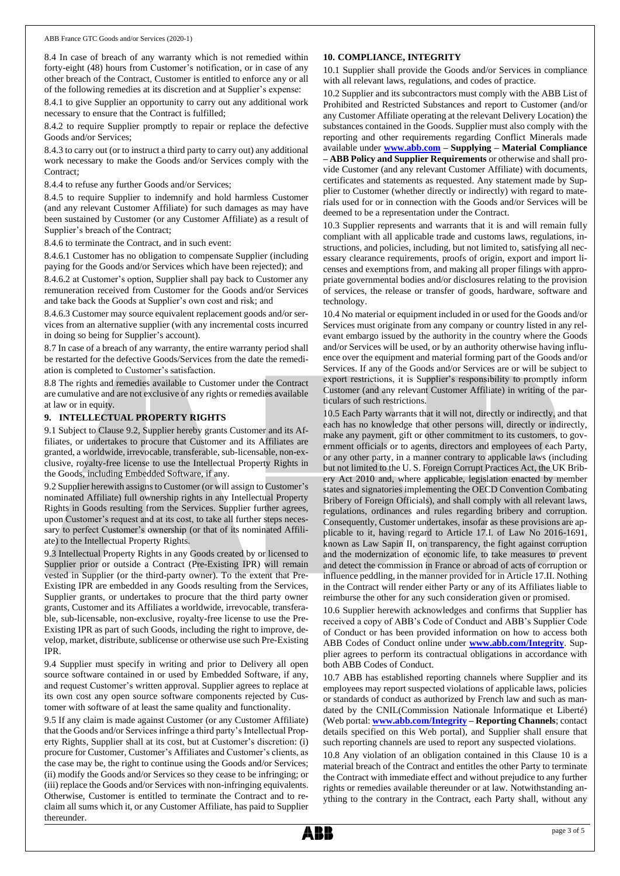8.4 In case of breach of any warranty which is not remedied within forty-eight (48) hours from Customer's notification, or in case of any other breach of the Contract, Customer is entitled to enforce any or all of the following remedies at its discretion and at Supplier's expense:

8.4.1 to give Supplier an opportunity to carry out any additional work necessary to ensure that the Contract is fulfilled;

8.4.2 to require Supplier promptly to repair or replace the defective Goods and/or Services;

8.4.3 to carry out (or to instruct a third party to carry out) any additional work necessary to make the Goods and/or Services comply with the Contract;

8.4.4 to refuse any further Goods and/or Services;

8.4.5 to require Supplier to indemnify and hold harmless Customer (and any relevant Customer Affiliate) for such damages as may have been sustained by Customer (or any Customer Affiliate) as a result of Supplier's breach of the Contract;

8.4.6 to terminate the Contract, and in such event:

8.4.6.1 Customer has no obligation to compensate Supplier (including paying for the Goods and/or Services which have been rejected); and

8.4.6.2 at Customer's option, Supplier shall pay back to Customer any remuneration received from Customer for the Goods and/or Services and take back the Goods at Supplier's own cost and risk; and

8.4.6.3 Customer may source equivalent replacement goods and/or services from an alternative supplier (with any incremental costs incurred in doing so being for Supplier's account).

8.7 In case of a breach of any warranty, the entire warranty period shall be restarted for the defective Goods/Services from the date the remediation is completed to Customer's satisfaction.

8.8 The rights and remedies available to Customer under the Contract are cumulative and are not exclusive of any rights or remedies available at law or in equity.

## **9. INTELLECTUAL PROPERTY RIGHTS**

9.1 Subject to Clause 9.2, Supplier hereby grants Customer and its Affiliates, or undertakes to procure that Customer and its Affiliates are granted, a worldwide, irrevocable, transferable, sub-licensable, non-exclusive, royalty-free license to use the Intellectual Property Rights in the Goods, including Embedded Software, if any.

9.2 Supplier herewith assigns to Customer (or will assign to Customer's nominated Affiliate) full ownership rights in any Intellectual Property Rights in Goods resulting from the Services. Supplier further agrees, upon Customer's request and at its cost, to take all further steps necessary to perfect Customer's ownership (or that of its nominated Affiliate) to the Intellectual Property Rights.

9.3 Intellectual Property Rights in any Goods created by or licensed to Supplier prior or outside a Contract (Pre-Existing IPR) will remain vested in Supplier (or the third-party owner). To the extent that Pre-Existing IPR are embedded in any Goods resulting from the Services, Supplier grants, or undertakes to procure that the third party owner grants, Customer and its Affiliates a worldwide, irrevocable, transferable, sub-licensable, non-exclusive, royalty-free license to use the Pre-Existing IPR as part of such Goods, including the right to improve, develop, market, distribute, sublicense or otherwise use such Pre-Existing IPR.

9.4 Supplier must specify in writing and prior to Delivery all open source software contained in or used by Embedded Software, if any, and request Customer's written approval. Supplier agrees to replace at its own cost any open source software components rejected by Customer with software of at least the same quality and functionality.

9.5 If any claim is made against Customer (or any Customer Affiliate) that the Goods and/or Services infringe a third party's Intellectual Property Rights, Supplier shall at its cost, but at Customer's discretion: (i) procure for Customer, Customer's Affiliates and Customer's clients, as the case may be, the right to continue using the Goods and/or Services; (ii) modify the Goods and/or Services so they cease to be infringing; or (iii) replace the Goods and/or Services with non-infringing equivalents. Otherwise, Customer is entitled to terminate the Contract and to reclaim all sums which it, or any Customer Affiliate, has paid to Supplier thereunder.

## **10. COMPLIANCE, INTEGRITY**

10.1 Supplier shall provide the Goods and/or Services in compliance with all relevant laws, regulations, and codes of practice.

10.2 Supplier and its subcontractors must comply with the ABB List of Prohibited and Restricted Substances and report to Customer (and/or any Customer Affiliate operating at the relevant Delivery Location) the substances contained in the Goods. Supplier must also comply with the reporting and other requirements regarding Conflict Minerals made available under **[www.abb.com](http://www.abb.com/) – Supplying – Material Compliance – ABB Policy and Supplier Requirements** or otherwise and shall provide Customer (and any relevant Customer Affiliate) with documents, certificates and statements as requested. Any statement made by Supplier to Customer (whether directly or indirectly) with regard to materials used for or in connection with the Goods and/or Services will be deemed to be a representation under the Contract.

10.3 Supplier represents and warrants that it is and will remain fully compliant with all applicable trade and customs laws, regulations, instructions, and policies, including, but not limited to, satisfying all necessary clearance requirements, proofs of origin, export and import licenses and exemptions from, and making all proper filings with appropriate governmental bodies and/or disclosures relating to the provision of services, the release or transfer of goods, hardware, software and technology.

10.4 No material or equipment included in or used for the Goods and/or Services must originate from any company or country listed in any relevant embargo issued by the authority in the country where the Goods and/or Services will be used, or by an authority otherwise having influence over the equipment and material forming part of the Goods and/or Services. If any of the Goods and/or Services are or will be subject to export restrictions, it is Supplier's responsibility to promptly inform Customer (and any relevant Customer Affiliate) in writing of the particulars of such restrictions.

10.5 Each Party warrants that it will not, directly or indirectly, and that each has no knowledge that other persons will, directly or indirectly, make any payment, gift or other commitment to its customers, to government officials or to agents, directors and employees of each Party, or any other party, in a manner contrary to applicable laws (including but not limited to the U. S. Foreign Corrupt Practices Act, the UK Bribery Act 2010 and, where applicable, legislation enacted by member states and signatories implementing the OECD Convention Combating Bribery of Foreign Officials), and shall comply with all relevant laws, regulations, ordinances and rules regarding bribery and corruption. Consequently, Customer undertakes, insofar as these provisions are applicable to it, having regard to Article 17.I. of Law No 2016-1691, known as Law Sapin II, on transparency, the fight against corruption and the modernization of economic life, to take measures to prevent and detect the commission in France or abroad of acts of corruption or influence peddling, in the manner provided for in Article 17.II. Nothing in the Contract will render either Party or any of its Affiliates liable to reimburse the other for any such consideration given or promised.

10.6 Supplier herewith acknowledges and confirms that Supplier has received a copy of ABB's Code of Conduct and ABB's Supplier Code of Conduct or has been provided information on how to access both ABB Codes of Conduct online under **[www.abb.com/Integrity](http://www.abb.com/Integrity)**. Supplier agrees to perform its contractual obligations in accordance with both ABB Codes of Conduct.

10.7 ABB has established reporting channels where Supplier and its employees may report suspected violations of applicable laws, policies or standards of conduct as authorized by French law and such as mandated by the CNIL(Commission Nationale Informatique et Liberté) (Web portal: **[www.abb.com/Integrity](http://www.abb.com/Integrity) – Reporting Channels**; contact details specified on this Web portal), and Supplier shall ensure that such reporting channels are used to report any suspected violations.

10.8 Any violation of an obligation contained in this Clause 10 is a material breach of the Contract and entitles the other Party to terminate the Contract with immediate effect and without prejudice to any further rights or remedies available thereunder or at law. Notwithstanding anything to the contrary in the Contract, each Party shall, without any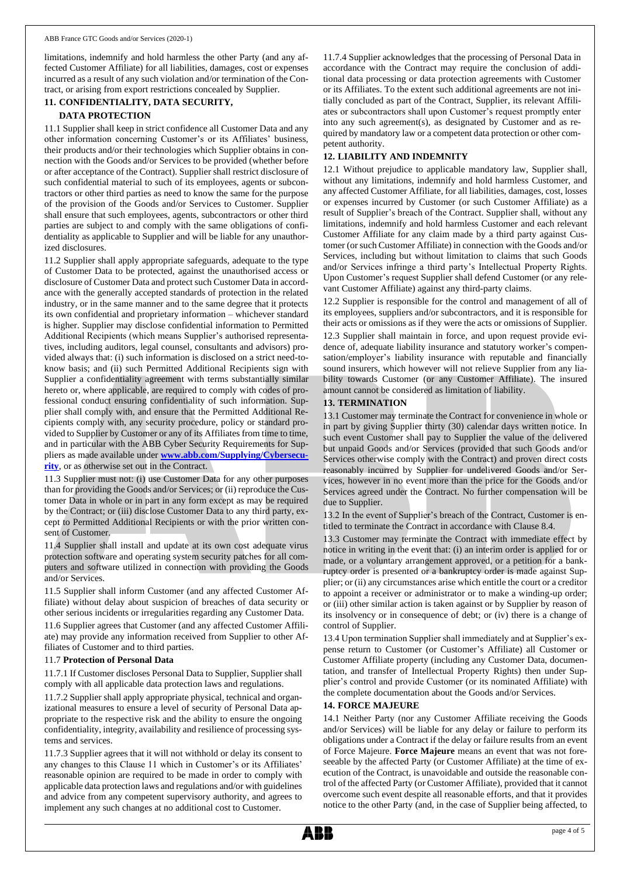limitations, indemnify and hold harmless the other Party (and any affected Customer Affiliate) for all liabilities, damages, cost or expenses incurred as a result of any such violation and/or termination of the Contract, or arising from export restrictions concealed by Supplier.

# **11. CONFIDENTIALITY, DATA SECURITY,**

#### **DATA PROTECTION**

11.1 Supplier shall keep in strict confidence all Customer Data and any other information concerning Customer's or its Affiliates' business, their products and/or their technologies which Supplier obtains in connection with the Goods and/or Services to be provided (whether before or after acceptance of the Contract). Supplier shall restrict disclosure of such confidential material to such of its employees, agents or subcontractors or other third parties as need to know the same for the purpose of the provision of the Goods and/or Services to Customer. Supplier shall ensure that such employees, agents, subcontractors or other third parties are subject to and comply with the same obligations of confidentiality as applicable to Supplier and will be liable for any unauthorized disclosures.

11.2 Supplier shall apply appropriate safeguards, adequate to the type of Customer Data to be protected, against the unauthorised access or disclosure of Customer Data and protect such Customer Data in accordance with the generally accepted standards of protection in the related industry, or in the same manner and to the same degree that it protects its own confidential and proprietary information – whichever standard is higher. Supplier may disclose confidential information to Permitted Additional Recipients (which means Supplier's authorised representatives, including auditors, legal counsel, consultants and advisors) provided always that: (i) such information is disclosed on a strict need-toknow basis; and (ii) such Permitted Additional Recipients sign with Supplier a confidentiality agreement with terms substantially similar hereto or, where applicable, are required to comply with codes of professional conduct ensuring confidentiality of such information. Supplier shall comply with, and ensure that the Permitted Additional Recipients comply with, any security procedure, policy or standard provided to Supplier by Customer or any of its Affiliates from time to time, and in particular with the ABB Cyber Security Requirements for Suppliers as made available under **[www.abb.com/Supplying/Cybersecu](http://www.abb.com/Supplying/Cybersecurity)[rity](http://www.abb.com/Supplying/Cybersecurity)**, or as otherwise set out in the Contract.

11.3 Supplier must not: (i) use Customer Data for any other purposes than for providing the Goods and/or Services; or (ii) reproduce the Customer Data in whole or in part in any form except as may be required by the Contract; or (iii) disclose Customer Data to any third party, except to Permitted Additional Recipients or with the prior written consent of Customer.

11.4 Supplier shall install and update at its own cost adequate virus protection software and operating system security patches for all computers and software utilized in connection with providing the Goods and/or Services.

11.5 Supplier shall inform Customer (and any affected Customer Affiliate) without delay about suspicion of breaches of data security or other serious incidents or irregularities regarding any Customer Data.

11.6 Supplier agrees that Customer (and any affected Customer Affiliate) may provide any information received from Supplier to other Affiliates of Customer and to third parties.

#### 11.7 **Protection of Personal Data**

11.7.1 If Customer discloses Personal Data to Supplier, Supplier shall comply with all applicable data protection laws and regulations.

11.7.2 Supplier shall apply appropriate physical, technical and organizational measures to ensure a level of security of Personal Data appropriate to the respective risk and the ability to ensure the ongoing confidentiality, integrity, availability and resilience of processing systems and services.

11.7.3 Supplier agrees that it will not withhold or delay its consent to any changes to this Clause 11 which in Customer's or its Affiliates' reasonable opinion are required to be made in order to comply with applicable data protection laws and regulations and/or with guidelines and advice from any competent supervisory authority, and agrees to implement any such changes at no additional cost to Customer.

11.7.4 Supplier acknowledges that the processing of Personal Data in accordance with the Contract may require the conclusion of additional data processing or data protection agreements with Customer or its Affiliates. To the extent such additional agreements are not initially concluded as part of the Contract, Supplier, its relevant Affiliates or subcontractors shall upon Customer's request promptly enter into any such agreement(s), as designated by Customer and as required by mandatory law or a competent data protection or other competent authority.

# **12. LIABILITY AND INDEMNITY**

12.1 Without prejudice to applicable mandatory law, Supplier shall, without any limitations, indemnify and hold harmless Customer, and any affected Customer Affiliate, for all liabilities, damages, cost, losses or expenses incurred by Customer (or such Customer Affiliate) as a result of Supplier's breach of the Contract. Supplier shall, without any limitations, indemnify and hold harmless Customer and each relevant Customer Affiliate for any claim made by a third party against Customer (or such Customer Affiliate) in connection with the Goods and/or Services, including but without limitation to claims that such Goods and/or Services infringe a third party's Intellectual Property Rights. Upon Customer's request Supplier shall defend Customer (or any relevant Customer Affiliate) against any third-party claims.

12.2 Supplier is responsible for the control and management of all of its employees, suppliers and/or subcontractors, and it is responsible for their acts or omissions as if they were the acts or omissions of Supplier.

12.3 Supplier shall maintain in force, and upon request provide evidence of, adequate liability insurance and statutory worker's compensation/employer's liability insurance with reputable and financially sound insurers, which however will not relieve Supplier from any liability towards Customer (or any Customer Affiliate). The insured amount cannot be considered as limitation of liability.

## **13. TERMINATION**

13.1 Customer may terminate the Contract for convenience in whole or in part by giving Supplier thirty (30) calendar days written notice. In such event Customer shall pay to Supplier the value of the delivered but unpaid Goods and/or Services (provided that such Goods and/or Services otherwise comply with the Contract) and proven direct costs reasonably incurred by Supplier for undelivered Goods and/or Services, however in no event more than the price for the Goods and/or Services agreed under the Contract. No further compensation will be due to Supplier.

13.2 In the event of Supplier's breach of the Contract, Customer is entitled to terminate the Contract in accordance with Clause 8.4.

13.3 Customer may terminate the Contract with immediate effect by notice in writing in the event that: (i) an interim order is applied for or made, or a voluntary arrangement approved, or a petition for a bankruptcy order is presented or a bankruptcy order is made against Supplier; or (ii) any circumstances arise which entitle the court or a creditor to appoint a receiver or administrator or to make a winding-up order; or (iii) other similar action is taken against or by Supplier by reason of its insolvency or in consequence of debt; or (iv) there is a change of control of Supplier.

13.4 Upon termination Supplier shall immediately and at Supplier's expense return to Customer (or Customer's Affiliate) all Customer or Customer Affiliate property (including any Customer Data, documentation, and transfer of Intellectual Property Rights) then under Supplier's control and provide Customer (or its nominated Affiliate) with the complete documentation about the Goods and/or Services.

#### **14. FORCE MAJEURE**

14.1 Neither Party (nor any Customer Affiliate receiving the Goods and/or Services) will be liable for any delay or failure to perform its obligations under a Contract if the delay or failure results from an event of Force Majeure. **Force Majeure** means an event that was not foreseeable by the affected Party (or Customer Affiliate) at the time of execution of the Contract, is unavoidable and outside the reasonable control of the affected Party (or Customer Affiliate), provided that it cannot overcome such event despite all reasonable efforts, and that it provides notice to the other Party (and, in the case of Supplier being affected, to